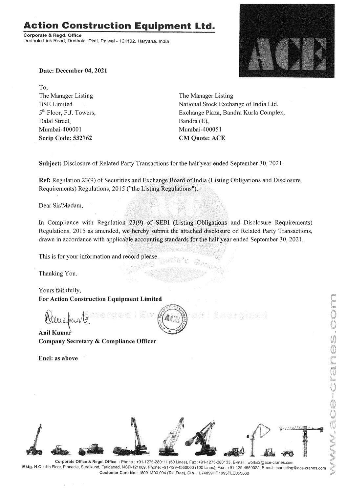# **Action Construction Equipment Ltd.**

**Corporate** & **Regd. Office**  Dudhola Link Road, Dudhola, Distt. Palwal - 121102, Haryana, India



**Date: December 04, 2021** 

To, The Manager Listing BSE Limited 5<sup>th</sup> Floor, P.J. Towers, Dalal Street, Mumbai-400001 **Scrip Code: 532762** 

The Manager Listing National Stock Exchange of India Ltd. Exchange Plaza, Bandra Kurla Complex, Bandra (E), Mumbai-400051 **CM Quote: ACE** 

E hand you all send

**Subject:** Disclosure of Related Party Transactions for the half year ended September 30, 2021.

**Ref:** Regulation 23(9) of Securities and Exchange Board of India (Listing Obligations and Disclosure Requirements) Regulations, 2015 ("the Listing Regulations").

Dear Sir/Madam,

In Compliance with Regulation 23(9) of SEBI (Listing Obligations and Disclosure Requirements) Regulations, 2015 as amended, we hereby submit the attached disclosure on Related Party Transactions, drawn in accordance with applicable accounting standards for the half year ended September 30, 2021.

This is for your information and record please.

Thanking You.

Yours faithfully,

• I•··,

For Action Construction Equipment Limited<br>
Altre pund <u>1</u><br>
Anil Kumar

**Anil Kumar Company Secretary** & **Compliance Officer** 

**Encl: as above** 



感激。



**Corporate Office** & **Regd. Office :** Phone: +91-1275-280111 (50 Lines), Fax :+91-1275-280133, E-mail: works2@ace-cranes.com **Mktg. H.Q.:** 4th Floor, Pinnacle, Surajkund, Faridabad, NCR-121009, Phone: +91-129-4550000 (100 Lines), Fax: +91-129-4550022, E-mail: marketing@ace-cranes.com **Customer Care No.:** 1800 1800 004 (Toll Free), **CIN:** L74899HR1995PLC053860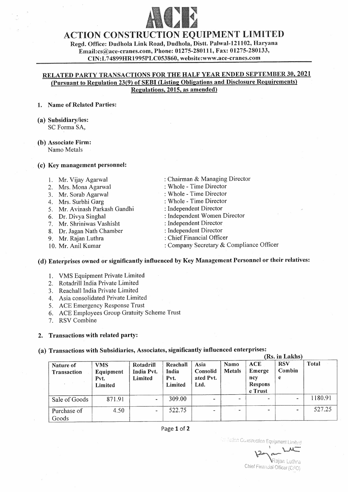

# ACTION CONSTRUCTION EQUIPMENT LIMITED

Regd. Office: Dudhola Link Road, Dudhola, Distt. Palwal-121102, Haryana Email:cs@ace-cranes.com, Phone: 01275-280111, Fax: 01275-280133, CIN :L 7 4899HR1995PLC053860, website:www .ace-cranes.com

#### **RELATED PARTY TRANSACTIONS FOR THE HALF YEAR ENDED SEPTEMBER 30, 2021 (Pursuant to Regulation 23(9) of SEBI (Listing Obligations and Disclosure Requirements) Regulations, 2015, as amended)**

#### **1. Name of Related Parties:**

- **(a) Subsidiary/ies:**  SC Forma SA,
- **(b) Associate Firm:**  Namo Metals

#### **(c) Key management personnel:**

- 1. Mr. Vijay Agarwal
- 2. Mrs. Mona Agarwal
- 3. Mr. Sorab Agarwal
- 4. Mrs. Surbhi Garg
- 5. Mr. Avinash Parkash Gandhi
- 6. Dr. Divya Singha]
- 7. Mr. Shriniwas Vashisht
- 8. Dr. Jagan Nath Chamber
- 9. Mr. Rajan Luthra
- 10. Mr. Anil Kumar
- : Chairman & Managing Director
- : Whole Time Director
- : Whole Time Director
- : Whole Time Director
- : Independent Director
- : Independent Women Director
- : Independent Director
- : Independent Director
- : Chief Financial Officer
- : Company Secretary & Compliance Officer

# **( d) Enterprises owned or significantly influenced by Key Management Personnel or their relatives:**

- 1. VMS Equipment Private Limited
- 2. Rotadrill India Private Limited
- 3. Reachall India Private Limited
- 4. Asia consolidated Private Limited
- 5. ACE Emergency Response Trust
- 6. ACE Employees Group Gratuity Scheme Trust
- 7. RSV Combine

**2. Transactions with related party:** 

**(a) Transactions with Subsidiaries, Associates, significantly influenced enterprises:** 

|                          |                                            |                                    |                                      |                                       |                |                                                   | (Rs. in Lakhs)            |         |
|--------------------------|--------------------------------------------|------------------------------------|--------------------------------------|---------------------------------------|----------------|---------------------------------------------------|---------------------------|---------|
| Nature of<br>Transaction | <b>VMS</b><br>Equipment<br>Pvt.<br>Limited | Rotadrill<br>India Pvt.<br>Limited | Reachall<br>India<br>Pvt.<br>Limited | Asia<br>Consolid<br>ated Pvt.<br>Ltd. | Namo<br>Metals | ACE<br>Emerge<br>ncy<br><b>Respons</b><br>e Trust | <b>RSV</b><br>Combin<br>e | Total   |
| Sale of Goods            | 871.91                                     | $\blacksquare$                     | 309.00                               |                                       | ۰              |                                                   | $\blacksquare$            | 1180.91 |
| Purchase of<br>Goods     | 4.50                                       | -                                  | 522.75                               |                                       | $\sim$         |                                                   | $\overline{\phantom{a}}$  | 527.25  |

#### Page **1** of **2**

Edich Construction Equipment Limited<br> **12 - Truck**<br>
<sup>1</sup> lajan *!..uthra*  Chief Financial Officer (CFO)